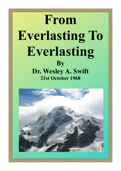# **From Everlasting To Everlasting By Dr. Wesley A. Swift 21st October 1968**

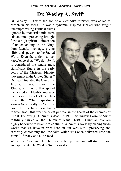### **Dr. Wesley A. Swift**

Dr. Wesley A. Swift, the son of a Methodist minister, was called to preach in his teens. He was a dynamic, inspired speaker who taught uncompromising Biblical truths

ignored by modernist ministers. His anointed preaching brought forth a high spiritual dimension of understanding to the Kingdom Identity message, giving "life" and "power" to the Sacred Word. Even the antichrists acknowledge that, "Wesley Swift is considered the single most significant figure in the early years of the Christian Identity movement in the United States." Dr. Swift founded the Church of Jesus Christ – Christian in the 1940's, a ministry that spread the Kingdom Identity message nation-wide to YHVH's Children, the White spirit-race known Scripturally as "sons of God". By teaching these truths



to true Israel, this warrior-priest put fear in the hearts of the enemies of Christ. Following Dr. Swift's death in 1970, his widow Lorraine Swift faithfully carried on the Church of Jesus Christ – Christian. We are highly honoured to be able to continue Dr. Swift's work, by placing those works that we have in print here on our web site ...preserving and earnestly contending for "the faith which was once delivered unto the saints"...for any and all to read.

We, at the Covenant Church of Yahweh hope that you will study, enjoy, and appreciate Dr. Wesley Swift's works.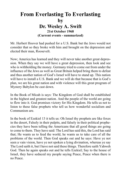### **From Everlasting To Everlasting by Dr. Wesley A. Swift 21st October 1968 (Current events - summarized)**

Mr. Herbert Hoover had pushed for a U.S. Bank but the Jews would not consider that so they broke with him and brought on the depression and elected their man, Roosevelt.

Now; America has learned and they will never take another great depression. When they say we will have a great depression, then look and see who is withholding the money. Germany tried to come out from under the influence of the Jews as well as Great Britain helped bring them to defeat and thus another nation of God's Israel will have to stand up. This nation will have to install a U.S. Bank and we will do that because that is God's plan, we are his great nation and with violence will this great program of Mystery Babylon be cast down.

In the Book of Micah is says: The Kingdom of God shall be established in the highest and greatest nation. And the people of the world are going to flow into it. God promises victory for His Kingdom. He tells us not to listen to these false prophets who tell us how wonderful socialism and Communism are.

In the book of Ezekiel 13 it tells us: Oh Israel thy prophets are like foxes in the desert, Falsely in their pulpits, and falsely in their political prophecies they have been telling the Americans that all good things are going to come to them. They have said: The Lord has said this, the Lord has said that; He wants us to feed the world, he wants us to take care of all the problems of the world. Then God speaks out and he says: Have ye not seen a vain vision, have ye not spoken a lying divination, whereas ye say The Lord saith it, but I have not said these things. Therefore saith Yahweh God. Then he again speaks out and he tells Ezekiel; Say to the house of Israel, they have seduced my people saying Peace, Peace when there is no Peace.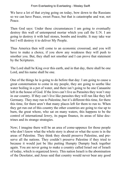We have a lot of that crying going on today, bow down to the Russians so we can have Peace, sweet Peace, but that is catastrophe and war, not Peace.

Then God says: Under these circumstances I am going to eventually destroy this wall of untempered mortar which you call the U.N. I am going to destroy it with hail stones, bombs and trouble. It may take war but I will destroy it to deliver My People.

Thus America then will come to an economic crossroad, and you will have to make a choice, if you show any weakness they will push to smother you. But, they shall not smother and I can prove that statement by the Scriptures.

The Lord shall be King over this earth, and in that day, there shall be one Lord, and his name shall be one.

One of the things he is going to do before that day: I am going to cause a great consternation to come in my people, they are going to seethe like water boiling in a pot of water, and there isn't going to be one Canaanite left in the house of God. If the Jews can't live as Parasites they won't stay in our country. If they can't live like parasites they will run like they left Germany. They may run to Palestine, but it's different this time, for there this time, for there aren't that many places left for them to run to. When they get run out of this country the other countries are going to rise up to burn, the great whore, who sat on many waters, this happens to be the control of international Jewry, its pagan finance, its areas of false doctrines and its strange strategies.

Now; I imagine there will be an area of come-uppence for those people who don't know what the whole story is about or what the score is in the areas of Palestine. They think they should preserve Palestine, and preserve all the nations. They couldn't preserve Palestine if they tried to because it would just be like putting Humpty Dumpty back together again. You are never going to make a country called Israel out of Israeli of today, which is organized Jewry. This nation Israeli is the abomination of the Desolator, and Jesus said that country would never bear any good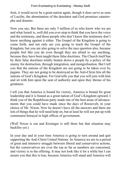fruit, it would never be a great nation again, though it does serve as sons of Lucifer, the abomination of the desolator and God promises catastrophe and disaster.

Now you say; But there are only 5 million of us who know who we are and what Israeli is, well did you ever stop to think that you have the voice and the testimony, and those people who don't know this testimony don't know anything against it either. The Gospel of the Kingdom is going to come forth, and not only are you going to teach the Gospel of the Kingdom, but you are also going to solve the race question also, because people feel like you do even though they are afraid to say anything, because they have been taught these false doctrines. The Church itself has by their false doctrines totally beaten down a people by a policy of the enemy for destruction, through integration, and mongrelisation. But I tell you that the nations of the Kingdom are not going to be taken over by pagans. They are not going to be destroyed as the Anti-Christ hits all the nations of God's Kingdom. For God tells you that you will join with him and sit with him upon the seat of authority and upon they throne of his greatness.

I tell you that America is bound for victory, America is bound for great leadership and it is bound as a great nation of God's Kingdom upward. I think you of the Republican party made one of the best areas of advancements that you could have made since the days of Roosevelt, in your choice of Mr. Nixon. Now he doesn't have all the answers and there are lots of things that he will need help on, but at least he will not put up with communist betrayal in high offices of government.

(Well Nixon is out and Kissinger is still there but that situation may backfire yet.)

In your day and in your time America is going to turn around and quit supporting the Anti-Christ United Nations. In America we are in a period of great and intensive struggle between liberal and conservative actions, but the conservatives are over the top as far as numbers are concerned, and victory is in the offering. It may not look like it for a while but I can assure you that this is true, because America will stand and America will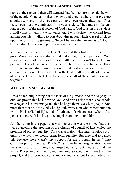move to the right and then will demand that their congressmen do the will of the people. Congress makes the laws and there is where your pressure should be. Many of the laws passed have been unconstitutional. Thus these laws must be eliminated from your society. They must not be any longer a part of the great society of God nation. God says; in the last days I shall come in with my whirlwinds and I will destroy the wicked from among you. He is talking to you about this nation which was set in place upon his plan for its greatness. Since I believe the covenants of God, I believe that America will get a new lease on life.

Yesterday we glanced at the L.A. Times and they had a great picture, a great Muriel so they said that would end all bigotry and prejudice. Well it was a picture of Jesus so they said, although it doesn't look like any picture of Jesus I ever saw or dreamed of, but it was a picture of a Black Jesus and surrounding him are about 25 integrated angels all of various colours. They said: This is God, he is the God of all races, all colours and all creeds. He is a black God because he is all of these colours mixed together.

### **WELL HE IS NOT MY GOD! ! ! !**

It is a rather unique thing but the facts of the purposes and the Majesty of our God proves that he is a white God. And proves also that his household was begat in his own image and that he begat them as a white people. And more than that he is the God who lighteth every man who cometh into the world. He is a God of light, and of truth and of righteousness who said to you as a race, with his integrated angels standing around him.

Another thing in the paper that was interesting was the notice that they were cancelling the program of the Church of council of L.A. called the program of project equality. This was a nation wide inter-religious program by which they would bring forth equality. But they had to cancel this because there wasn't any support for the program in the White Christian part of the area. The NCC and the Jewish organizations were the sponsors for this program, project equality, but they said that the white Protestants in their denominations showed no interest in the project, and they contributed no money and no talent for promoting the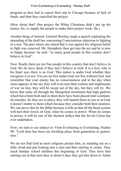program so they had to cancel their trip to Chicago because of lack of funds, and then they cancelled the project.

(How about that? One project the White Christians didn't put up the money for, or supply the people to make their project work. Ha.)

Another thing of interest: General Hershey made a speech explaining the amending of the draft law concerning Conscientious objection to fighting in a war. The part where one stated that it was against his religious belief to fight was removed. Mr. Humphrey then got into the act and he is now so happy because: he said: "so many good people in this country don't believe in God".

Now: Really there are not fine people in this country that don't believe in God. We do have idiots if they don't believe in God. It is a fool, who is his heart says there is no God. This nation is under God whether they recognize it or not. You are set free under God, not free without God. Just remember that your enemy has no consciousness and in the day when Jesus appears in the sky they will even turn their rockets and implements of war on him, they will be swept out of the sky, but they will try. We know that today all through the Mongolian mountains that high gantries which have been built and on them there have been placed inter-continental missiles. So they are in place, they will launch them at you or at God, it doesn't matter to them which because they consider both their enemies. We can prove this by the Bible because it tells us that all the beast system will turn their forces on God, when he comes in power. When he comes in power, it will be one of the shortest strikes that the Soviet Union has ever undertaken.

Now; we turn to our subject to: From Everlasting to Everlasting: Psalms 90. "Lord thou has been our dwelling place from generation to generation."

We do not find God as most religions picture him, as standing out on a little cloud and just looking into a mist and then starting to create. They teach Sunday school children this beginning of God. They have him starting out in that mist then in about 6 days they get him down to Adam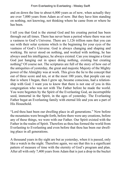and on down the line to about 6,000 years as of now, when actually they are over 7,000 years from Adam as of now. But they have him standing on nothing, not knowing, not thinking where he came from or where he has been.

I tell you that God is the eternal God and his creating period has been through out all times. There has never been a period where there was not a vastness to God's Universe. There are 1,126 trillion suns that you can see with their solar systems which is the beginning for your eyes of the vastness of God's Universe. God is always changing and shaping and working. He never stood on nothing, and worked with nothing, he has always used his intelligence, he always existed. Can you imagine a Great God just hanging out in space doing nothing, existing but creating nothing? Of course not. The scriptures are full of the story of how out of the antiquities of yesterday, the great and majestic Majesty of the Mighty power of the Almighty was at work. This gives the lie to the concept that out of three score and ten, or at the most 100 years, that people can say that is where I began, then I grew up, became conscious, had a relationship with God. I want you to know that there is not one of you in this congregation who was not with The Father before he made the world. You were begotten by the Spirit of the Everlasting God, an incorruptible seed, immortal in the Spirit, in the ages of yesterday. The Everlasting Father begat an Everlasting family with eternal life and you are a part of His Household.

"Lord thou hast been our dwelling place in all generations." Now before the mountains were brought forth, before there were any creations, before any of these things, we were with our Father. Our Spirit existed with the Father in the realm of Spirit. Therefore as thou has formed the world from Everlasting to Everlasting and even before that thou has been our dwelling place in all generations.

A thousand years in thy sight are but as yesterday, when it is passed, only like a watch in the night. Therefore again, we see that this is a significant pattern of measure of time with the eternity of God's program and plan. After all with only 7,400 years from Adam that is just a drop in the bucket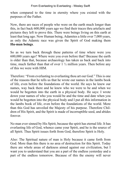when compared to the time in eternity where you existed with the purposes of the Father.

Now, there are races of people who were on the earth much longer than this, in fact back 600,000 years ago we find their traces thru artefacts and pictures they left to prove this. There were beings living on this earth at least that long ago. Now Human being, Adamites a little over 7,000 years, as only the Adamic race was given the Spirit of God making them **Hu-man beings**.

So as we turn back through these patterns of time where were you 600,000 years ago? Where were you even before that? Because the earth is older than that, because archaeology has taken us back and back into time, much farther than that of over 1 ½ million years. Then before any of this we were with HIM.

Therefore: "From everlasting to everlasting thou art our God." This is one of the reasons that he tells us that he wrote our names in the lambs book of life, even before the foundations of the world. He says he knew our names, way back there and he knew who we were to be and when we would be begotten into the earth in a physical body. He says: I wrote down your names of who you would be and the time and date when you would be begotten into the physical body and I put all this information in the lambs book of life, even before the foundations of the world. More than this God has unveiled the Majesty of his purpose. Therefore Children of His Spirit, and the Spirit is made of incorruptible seed, and abides forever.

No man ever sinned by His Spirit, because the spirit has eternal life. It has everlasting life of God, whence came your Spirit, and he is the source of all Spirit. Thus Spirit issues forth from God, therefore Spirit is Holy.

Also: The Spiritual nature of man is Holy because it came forth from God. More than this there is no area of destruction for this Spirit. Today there are whole areas of darkness aimed against our civilization, but I want you to understand that you are a part of the endless yesterday and a part of the endless tomorrow. Because of this the enemy will never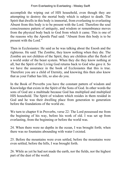accomplish the wiping out of HIS household, even though they are attempting to destroy the mortal body which is subject to death. The Spirit that dwells in this body is immortal, from everlasting to everlasting Absent from this body is to be present with the Lord. Therefore the soul consciousness pattern of antiquity, and wisdom or remembrance moves from the physical body back to God from which it came. This is one of the reasons why the Apostle Paul said: "Absent from this body is to be present with the Lord."

Then in Ecclesiastes: He said as he was talking about the Enosh and the righteous. He said: The Zombie, they know nothing when they die. The Zombie are not children of the Spirit, they are children after the flesh of a world order of the beast system. When they die they know nothing at all, but the Spirit of the Living God returns back to God who gave it. So we have the assurance in the book of Ecclesiastes that this is true. Therefore you are a child of Eternity, and knowing this then also know that as your Father has life, so also do you.

In the Book of Proverbs you have the constant pattern of wisdom and Knowledge that exists in the Spirit of the Sons of God. In other words the sons of God are a multitude because God has multiplied and multiplied HIS household. The Spirit of wisdom which resides in them resided in God and he was their dwelling place from generation to generation before the foundations of the world etc.

We turn to chapter 8 in Proverbs, verse 22: The Lord possessed me from the beginning of his way, before his work of old. I was set up from everlasting, from the beginning or before the world was.

24. When there were no depths in the ocean, I was brought forth; when there was no fountains abounding with water I existed.

25. Before the mountains were even settled, before the mountains were even settled, before the hills, I was brought forth.

26. While as yet he had not made the earth, nor the fields, nor the highest part of the dust of the world.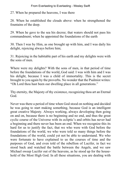27. When he prepared the heavens, I was there

28. When he established the clouds above: when he strengthened the fountains of the deep.

29. When he gave to the sea his decree; that waters should not pass his commandment; when he appointed the foundations of the earth

30. Then I was by Him, as one brought up with him, and I was daily his delight, rejoicing always before him;

31. Rejoicing in the habitable part of his earth and my delights were with the sons of men.

Where were my delights? With the sons of men, in that period of time before the foundations of the world,.God said: I was with him and I was his delight, because I was a child of immortality. This is the secret brought to you again by the proverbs. No wonder that the Psalmist writes: "Oh Lord thou hast been our dwelling place in all generations."

Thy eternity, the Majesty of thy existence, recognizing thou art an Eternal God.

Never was there a period of time when God stood on nothing and decided he was going to start making something, because God is an intelligent great creative Majesty. Always working, always developing then going on and on, because there is no beginning and no end, and thus the great cyclic course of the Universe with its ecliptic's and orbits has never had a beginning and there never has been an end. When we recognize this its hard for us to justify the fact, that we who were with God before the foundations of the world, we who were told so many things before the foundations of the world, could yet not be able to understand. We who were fortunate to have explained to us the courses of time and the purposes of God, and even told of the rebellion of Lucifer, in fact we stood back and watched the battle between the Angels, and we saw Michael sweep Lucifer out of the heavens, as he stood up for the household of the Most High God. In all these situations, you are dealing with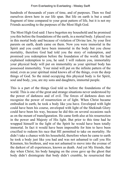hundreds of thousands of years of time, and of purposes. Then we find ourselves down here in our life span. But life on earth is but a small fragment of time compared to your great pattern of life, but it is not my Friends according to the purposes of the Most High God.

The Most High God said: I have begotten my household and he promised you this before the foundations of the earth, in a mortal body. I placed you in this mortal body and because of violation of Divine law, by your first parents on earth, death came on them. Now you were immortal in the Spirit and you could have been immortal in the body but you chose mortality, therefore God had told you the story of redemption, and promised you redemption before the foundation of the world. He had explained redemption to you, he said: I will redeem you, immortality your physical body will put on immortality as your spiritual body has possessed immortality. Your mind will put on the infinite pattern of the mind, even as your spiritual mind knows all of the things, even the deep things of God. So the mind occupying this physical body is for Spirit, soul and body, you, are my sons and daughters, immortal people.

This is a part of the things God told us before the foundations of the world. This is one of the great and strange situations never understood by the power of darkness and of evil. The forces of darkness does not recognize the power of resurrection or of light. When Christ became embodied in earth, he took a body like you have. Enveloped with light could have been his course, enveloped with light of the Shekinah Glory could have been his way, because he did this on several occasions such as on the mount of transfiguration. He came forth also at his resurrection in the power and Majesty of His light. But prior to this time had he wrapped himself in the light of the Spirit he would have been totally immortal. In fact it would have been impossible for him to have been crucified to redeem his race that HE permitted to take on mortality. He didn't take a chance with his household, therefore when he came to earth he took a body just like you had and was not ashamed to call you His Kinsmen, his brethren, and was not ashamed to move into the avenue of the darkest of all experiences, known as death. And yet My friends, that day when Christ, his body hanging on the cross gave up the ghost that body didn't disintegrate that body didn't crumble, he resurrected that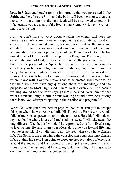body in 3 days and bought for you immortality that you possessed in the Spirit, and therefore the Spirit and the body will become as one, then this mortal will put on immortality and death will be swallowed up totally in life, because you are a part of the Everlasting Eternal God, from Everlasting to Everlasting.

Now we don't have to worry about whether the enemy will keep the Peace treaty. We know he never keeps his treaties anytime. We don't depend on dreams and dreamers, for we know that as the sons and daughters of God that we were put down here to conquer darkness, and to raise the power and righteousness of the Kingdom of God. He has unveiled out of His Spirit the concept of His Kingdom. The thoughts that exist in the mind of God, as he came forth out of the grave and raised his body by the power of the Spirit, he also says your Spirit is going to envelope your body with light and your body is going to put on immortality. As such then when I was with the Father before the world was framed. I was with him before any of this was created. I was with him when he was rolling out the heavens and as he created new creations. At that time we didn't have any questions about the knowledge and the purposes of the Most High God. There wasn't even any little peanut walking around here on earth saying there is no God. Now think of that what a fantastic thing, a little peanut walking around down here saying there is no God, after participating in the creation and program.???

When God sent you down here in physical bodies he sent you to occupy this spot where he was going to build His Kingdom. He knew you would fall, he knew he had power to save to the uttermost. He said: I will redeem my people, the whole house of Israel shall be saved. I will take away the ungodliness of Jacob, this I will do, I have promised this from Everlasting to Everlasting. He said: I am your Messiah, I give you Eternal life. and you never perish. If you die that is not the area where you have Eternal life. The Spirit is the area where the consciousness can pass into Eternal life. But then HE says: I am going to speed up the revolutions of electrons around the nucleus and I am going to speed up the revolutions of electrons around the nucleus and I am going to do it with light. I am going to do it with the immortality that comes with light.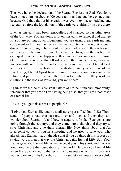Thus you have the declaration of the Eternal Everlasting God. You don't have to start him out about 6,000 years ago, standing out there on nothing, because God thought out his creation was ever moving, remodeling and recreating before the foundations of the earth were laid and you were there.

Even as this earth has been remodelled, and changed so has other areas of the Universe. You are doing a lot on this earth to remodel and change it. You are putting down mountains, you are using great earth moving equipment and if mountain gets in the way you tunnel through it or cut it down. There is going to be a lot of changes made even in the earth itself, in the areas of the times to come. However the changes of the earth or the earthquakes which can happen at this time are not important because: One thousand can fall at thy left side and 10 thousand at thy right side yet no harm will come to thee. God's covenants are made by an Eternal God, and they are from Everlasting to Everlasting, and you who are of the Everlasting, Eternal Spirit have nothing to worry about concerning the future and purposes of your father. Therefore when it tells you of the creations in the book of Proverbs, you were there.

Again as we turn to this constant pattern of Eternal truth and immortality, remember that you are an Everlasting being also, that you are a possessor of Eternal life.

How do you get this across to people ???

"I give you Eternal life and ye shall never perish" (John 10:28) Thousands of people read that passage, over and over, and then they still wonder about Eternal life and how to acquire it. In fact Evangelists are going through the country, and they come into a church and they try to save Christians and give them Eternal life. Now think about that An Evangelist comes to you in a meeting and he tries to save you, who already has Eternal life, on the idea that if you go through this process of saying words, then that way the Christian gains Eternal Life. But, Your Father gave you Eternal life, when he begat you in his spirit, and this was long, long before the foundations of the world. He gave you Eternal life when His Spirit called to the secret consciousness which is inside every man or woman of His household, this is a secret awareness in every child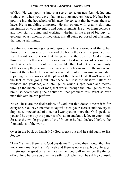of God. He was pouring into that secret consciousness knowledge and truth, even when you were playing at your mothers knee. He has been pouring into the household of his race, the concept that he wants them to have. He is moulding tomorrow. He moves out with great vision and inspiration on your inventors and your scientists. He gives them concepts and they start probing and working, whether in the area of biology, or geology, or astronomy, or medicine, it is all being purposed out of a mind that knows all things.

We think of our men going into space, which is a wonderful thing, but think of the thousands of men and the hours they spent to produce that feat. I want you to know that the power of the Spirit of God surging through the intelligence of your race has put a drive in you of accomplishment. At any time he could stop it, just like that. But out of the continuity of this society they accomplished a drive which took men to the moon and brought them back. This is just a small step into tomorrow as you start rejoining the purposes and the plans of the Eternal God. It isn't so much the fact of their going out into space, but it is the massive pattern of wisdom and guidance, and intelligence which surges down and moves through the mentality of men, that works through the intelligence of the brain, so coordinating their activities, that produces this. What so ever man thinketh he can perform.

Now; These are the declarations of God, but that doesn't mean it is for everyone. You have enemies today who steal your secrets and they try to duplicate, or get ahead of you, but I want you to know that God speaks to you and he opens up the patterns of wisdom and knowledge to your mind. So also the whole program of the Universe he had declared before the foundations of the world.

Over in the book of Isaiah (45) God speaks out and he said again to His People:

"I am Yahweh, there is no God beside me." I girded thee though thou has not known me. Yet I am Yahweh and there is none else. Now; He says: If I stir up the spirit of remembrance then you will remember the things of old, long before you dwelt in earth, back when you heard My counsel,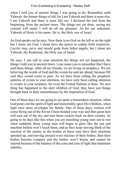when I told you of ancient things I was going to do. Remember saith Yahweh: the former things of old, for I am Yahweh and there is none else. I am Yahweh and there is none like me. I declared the end from the beginning, from the ancient times. The things not yet done, saying my counsel will stand, I will do all my pleasure. As for our redeemer, Yahweh of Hosts is his name. He is, the Holy one of Israel.

As God speaks out he says: Now there is no God on the left or on the right but I alone am God. I alone have the power to ordain forth tomorrow. Lucifer may carve and mould gods from fallen angels, but I alone am Yahweh, thy Redeemer, the Holy one of Israel.

He says: I can call to your attention the things not yet happened, the things I told you in ancient times. I can cause you to remember that I have said these things. After all my friends, we are living on prophecy. We are believing the words of God and the events he said are ahead, because HE said they would come to pass. As we have been calling the prophetic patterns of events to your attention, we have only been calling attention to events in your scripture, for even the United Nations is there. No new thing has happened to the alert children of God, they have just things brought back to their remembrance by the inspiration of God.

One of these days we are going to see quite a tremendous situation, when God pours out the spirit of light and immortality upon His Children, when light once more envelopes his family. One of these days, rockets will come flying out of the Soviet Union headed your way and then great host will soar out of the sky and turn those rockets back on their country. Its going to be days like this when you are marching young men out to war when suddenly those young men will begin to glow like the sun and machine bullets won't touch them, and as they keep moving think of the reaction of the enemy as the bodies of these men have their electrons speeded up, and moving around every nucleus of their bodies, then their bodies become compact and the bodies won't bruise and cannot be injured because of the balance of the cone and core of light that maintains stability.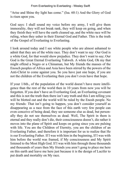"Arise and Shine thy light has come." (Isa. 60:1) And the Glory of God is risen upon you.

God says: I shall sound my voice before my army, I will give them immorality, they will not break rank, they will keep on going, and when they finish they will have the earth cleaned up, and the white race will be ruling, when they usher in their Eternal God and Father. This is the truth of the Gospel of Everlasting to Everlasting.

I look around today and I see white people who are almost ashamed to admit that they are of the white race. They don't want to say: Our God is a white God, for that would show prejudice. They don't want to say; Our God is the Great Eternal Everlasting Yahweh. A white God, Oh my that might offend a Negro or a Chinaman, but My friends the masses of the Enosch peoples of Africa and Asia have been stirred by the powers of the Anti-Christ to come against you. So you have just one hope, if you are not the children of the Everlasting then you don't even have that hope.

If your 1/6th., of the population of the world doesn't have more intelligence than the rest of the world then in 10 years from now you will be forgotten. If you don't have an Everlasting God, an Everlasting covenant and this is not the truth then there isn't any truth and this I am telling you will be blotted out and the world will be ruled by the Enosh people. No my friends: That isn't going to happen, you don't consider yourself as disappearing as a race from the face of this earth very few people can even conceive of being dead, they see someone else as dead, but personally they do not see themselves as dead. Well, The Spirit in them is eternal and they really don't die, their consciousness doesn't, die rather it moves into the plane of Spirit and keeps on going since you are pulsing with life. You are the Children of Eternity, you are the children of an Everlasting Father, and therefore it is important for us to realize that He is our Everlasting Father. If I was with him in the beginning, If I was with him before the world was framed, if My consciousness and My Spirit listened to the Most High God. If I was with him through those thousands and thousands of years then My friends you aren't gong to place me here on this earth and leave me here just because it is the design of Lucifer to put death and mortality on My race.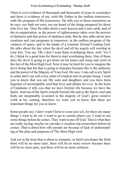There is ever evidence of thousands and thousands of years in yesterdays and there is evidence of me, with My Father in the endless tomorrows, with His program of His tomorrows. He tells you of those tomorrows as he says: eye hath not seen, nor ear heard of the things prepared for those who love me. Then He talks about a new heaven and a new earth, and of the re-organization, as the power of righteousness takes over the powers of darkness and that power of darkness ends. But he also talks about new creations and vast programs in tomorrow, in the endless program of the vastness of space, and in the hands of a constant Eternal Creating God. He talks about the day when the devil and all his angels will worship at your feet. You say: Oh, I don't want them worshiping there, well. Yes I do, I think its a good time for them to start worshiping there. One of these days the devil is going to get down on his knees and weep and crawl at the feet of the Most High God. Now it may be hard for you to imagine the devil doing that but that is going to transpire because this is the authority and the power of the Majesty of Your God. He says: I can call every Spirit to order and I can call every order of creation into its proper being. I want you to know that you are My sons and daughters and you have been begotten of incorruptible seed that lives and abides for ever. In the book of Galatians it tells you that we have Eternal life because we have the Spirit. And out of the Spirit cometh Eternal life and as the Spirit, soul and body are inseparably re-united in the majesty of God's great creative work at his coming, therefore we want you to know that these are important things for you to know.

Some people say: I don't want Christ to come just yet, for there are many things I want to do yet. I want to go to certain places yet, I want to see some things before he comes. They want to put off God. That is what they are really saying: maybe we can take a vacation trip somewhere before he comes. That is about how silly people are because of lack of understanding of the plan and purposes of The Most High God.

And yet in the hour that is about to transpire, as Spirit envelopes the flesh there will be no more tears, there will be no more sorrow because there will be no more pain, and there will be no more sickness.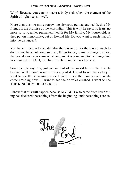Why? Because you cannot make a body sick when the element of the Spirit of light keeps it well.

More than this: no more sorrow, no sickness, permanent health, this My friends is the promise of the Most High. This is why he says: no tears, no more sorrow, rather permanent health for My family, My household, as they put on immortality, put on Eternal life. Do you want to push that off into the distance???

You haven't begun to decide what there is to do, for there is so much to do that you have not done, so many things to see, so many things to enjoy, that you do not even know what enjoyment is compared to the things God has planned for YOU, for His Household in the days to come.

Some people say: Oh, just get me out of the world before the trouble begins; Well I don't want to miss any of it. I want to see the victory, I want to see the smashing blows. I want to see the hammer and sickle come crashing down, I want to see their armies crushed. I want to see THE KINGDOM OF GOD RISE.

I know that this will happen because MY GOD who came from Everlasting has declared these things from the beginning, and these things are so.